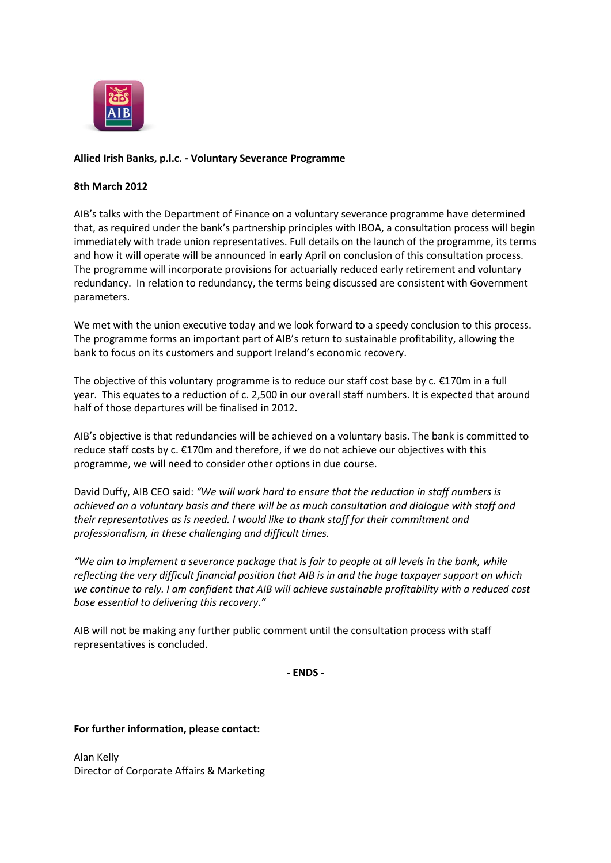

## **Allied Irish Banks, p.l.c. - Voluntary Severance Programme**

## **8th March 2012**

AIB's talks with the Department of Finance on a voluntary severance programme have determined that, as required under the bank's partnership principles with IBOA, a consultation process will begin immediately with trade union representatives. Full details on the launch of the programme, its terms and how it will operate will be announced in early April on conclusion of this consultation process. The programme will incorporate provisions for actuarially reduced early retirement and voluntary redundancy. In relation to redundancy, the terms being discussed are consistent with Government parameters.

We met with the union executive today and we look forward to a speedy conclusion to this process. The programme forms an important part of AIB's return to sustainable profitability, allowing the bank to focus on its customers and support Ireland's economic recovery.

The objective of this voluntary programme is to reduce our staff cost base by  $c. \epsilon$ 170m in a full year. This equates to a reduction of c. 2,500 in our overall staff numbers. It is expected that around half of those departures will be finalised in 2012.

AIB's objective is that redundancies will be achieved on a voluntary basis. The bank is committed to reduce staff costs by c. €170m and therefore, if we do not achieve our objectives with this programme, we will need to consider other options in due course.

David Duffy, AIB CEO said: *"We will work hard to ensure that the reduction in staff numbers is achieved on a voluntary basis and there will be as much consultation and dialogue with staff and their representatives as is needed. I would like to thank staff for their commitment and professionalism, in these challenging and difficult times.*

*"We aim to implement a severance package that is fair to people at all levels in the bank, while reflecting the very difficult financial position that AIB is in and the huge taxpayer support on which we continue to rely. I am confident that AIB will achieve sustainable profitability with a reduced cost base essential to delivering this recovery."*

AIB will not be making any further public comment until the consultation process with staff representatives is concluded.

**- ENDS -**

## **For further information, please contact:**

Alan Kelly Director of Corporate Affairs & Marketing